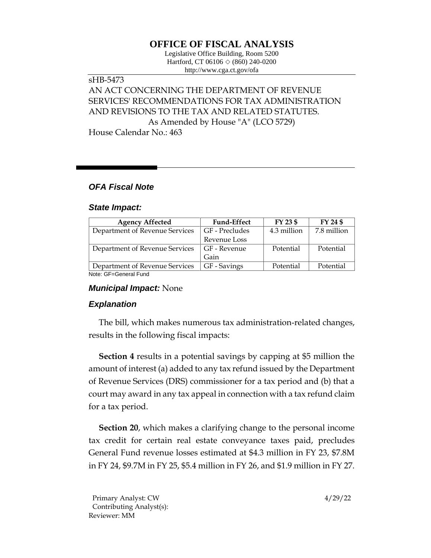# **OFFICE OF FISCAL ANALYSIS**

Legislative Office Building, Room 5200 Hartford, CT 06106  $\Diamond$  (860) 240-0200 http://www.cga.ct.gov/ofa

# sHB-5473 AN ACT CONCERNING THE DEPARTMENT OF REVENUE SERVICES' RECOMMENDATIONS FOR TAX ADMINISTRATION AND REVISIONS TO THE TAX AND RELATED STATUTES. As Amended by House "A" (LCO 5729)

House Calendar No.: 463

## *OFA Fiscal Note*

#### *State Impact:*

| <b>Agency Affected</b>         | <b>Fund-Effect</b> | FY 23 \$    | FY 24 \$    |
|--------------------------------|--------------------|-------------|-------------|
| Department of Revenue Services | GF - Precludes     | 4.3 million | 7.8 million |
|                                | Revenue Loss       |             |             |
| Department of Revenue Services | GF - Revenue       | Potential   | Potential   |
|                                | Gain               |             |             |
| Department of Revenue Services | GF - Savings       | Potential   | Potential   |
| Nota: OF Conoral Fund          |                    |             |             |

Note: GF=General Fund

### *Municipal Impact:* None

### *Explanation*

The bill, which makes numerous tax administration-related changes, results in the following fiscal impacts:

**Section 4** results in a potential savings by capping at \$5 million the amount of interest (a) added to any tax refund issued by the Department of Revenue Services (DRS) commissioner for a tax period and (b) that a court may award in any tax appeal in connection with a tax refund claim for a tax period.

**Section 20**, which makes a clarifying change to the personal income tax credit for certain real estate conveyance taxes paid, precludes General Fund revenue losses estimated at \$4.3 million in FY 23, \$7.8M in FY 24, \$9.7M in FY 25, \$5.4 million in FY 26, and \$1.9 million in FY 27.